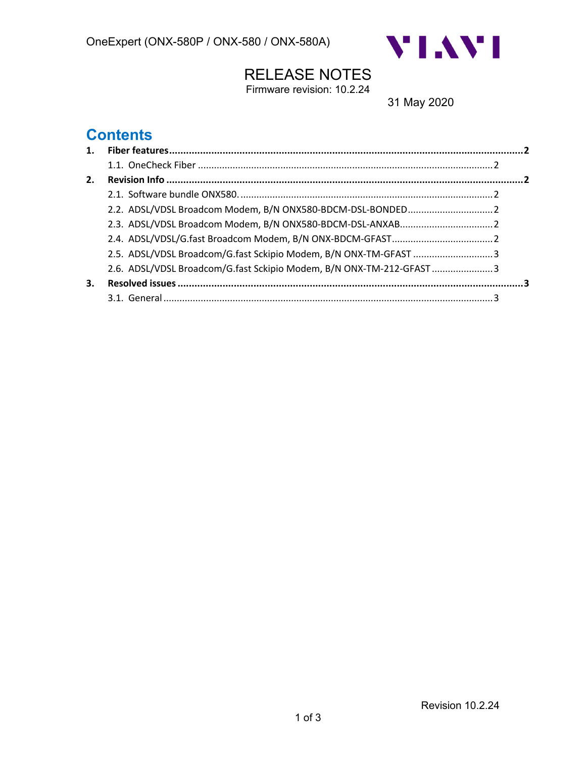

## RELEASE NOTES

Firmware revision: 10.2.24

31 May 2020

## **Contents**

| 2. |                                                                      |  |
|----|----------------------------------------------------------------------|--|
|    |                                                                      |  |
|    | 2.2. ADSL/VDSL Broadcom Modem, B/N ONX580-BDCM-DSL-BONDED 2          |  |
|    |                                                                      |  |
|    |                                                                      |  |
|    | 2.5. ADSL/VDSL Broadcom/G.fast Sckipio Modem, B/N ONX-TM-GFAST 3     |  |
|    | 2.6. ADSL/VDSL Broadcom/G.fast Sckipio Modem, B/N ONX-TM-212-GFAST 3 |  |
| 3. |                                                                      |  |
|    |                                                                      |  |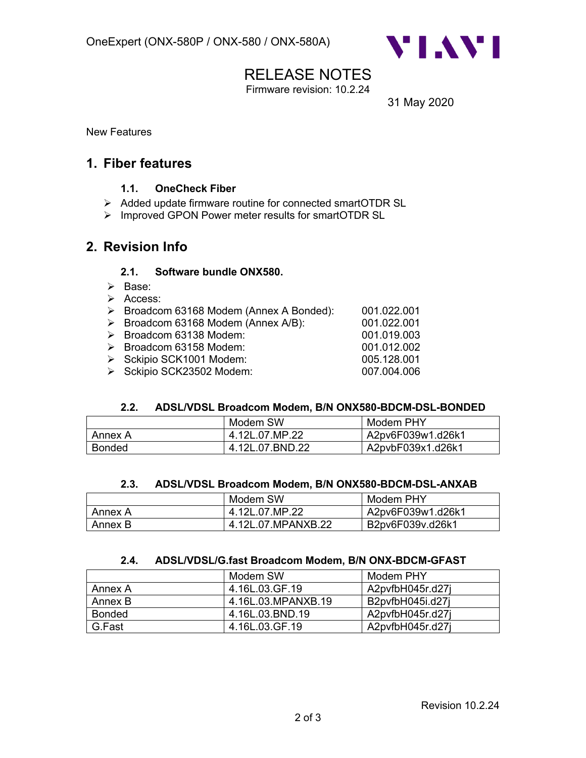

## RELEASE NOTES

Firmware revision: 10.2.24

31 May 2020

New Features

### **1. Fiber features**

#### **1.1. OneCheck Fiber**

- Ø Added update firmware routine for connected smartOTDR SL
- Ø Improved GPON Power meter results for smartOTDR SL

### **2. Revision Info**

#### **2.1. Software bundle ONX580.**

- Ø Base:
- Ø Access:
- Ø Broadcom 63168 Modem (Annex A Bonded): 001.022.001
- Ø Broadcom 63168 Modem (Annex A/B): 001.022.001
- Ø Broadcom 63138 Modem: 001.019.003
- Ø Broadcom 63158 Modem: 001.012.002
- Ø Sckipio SCK1001 Modem: 005.128.001
- Ø Sckipio SCK23502 Modem: 007.004.006

#### **2.2. ADSL/VDSL Broadcom Modem, B/N ONX580-BDCM-DSL-BONDED**

|               | Modem SW        | Modem PHY         |
|---------------|-----------------|-------------------|
| Annex A       | 4.12L.07.MP.22  | A2pv6F039w1.d26k1 |
| <b>Bonded</b> | 4.12L.07.BND.22 | A2pvbF039x1.d26k1 |

#### **2.3. ADSL/VDSL Broadcom Modem, B/N ONX580-BDCM-DSL-ANXAB**

|         | Modem SW           | Modem PHY         |
|---------|--------------------|-------------------|
| Annex A | 4.12L.07.MP.22     | A2pv6F039w1.d26k1 |
| Annex B | 4.12L.07.MPANXB.22 | B2pv6F039v.d26k1  |

#### **2.4. ADSL/VDSL/G.fast Broadcom Modem, B/N ONX-BDCM-GFAST**

|               | Modem SW           | Modem PHY        |
|---------------|--------------------|------------------|
| Annex A       | 4.16L.03.GF.19     | A2pvfbH045r.d27i |
| Annex B       | 4.16L.03.MPANXB.19 | B2pvfbH045i.d27i |
| <b>Bonded</b> | 4.16L.03.BND.19    | A2pvfbH045r.d27i |
| G.Fast        | 4.16L.03.GF.19     | A2pyfbH045r.d27i |